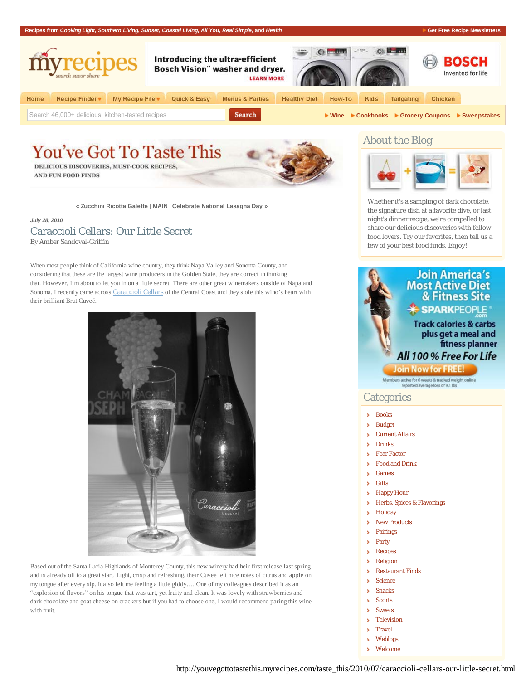

## **You've Got To Taste This** DELICIOUS DISCOVERIES, MUST-COOK RECIPES,

**AND FUN FOOD FINDS** 

**« Zucchini Ricotta Galette | MAIN | Celebrate National Lasagna Day »**

### *July 28, 2010* Caraccioli Cellars: Our Little Secret By Amber Sandoval-Griffin

When most people think of California wine country, they think Napa Valley and Sonoma County, and considering that these are the largest wine producers in the Golden State, they are correct in thinking that. However, I'm about to let you in on a little secret: There are other great winemakers outside of Napa and Sonoma. I recently came across Caraccioli Cellars of the Central Coast and they stole this wino's heart with their brilliant Brut Cuveé.



Based out of the Santa Lucia Highlands of Monterey County, this new winery had heir first release last spring and is already off to a great start. Light, crisp and refreshing, their Cuveé left nice notes of citrus and apple on my tongue after every sip. It also left me feeling a little giddy…. One of my colleagues described it as an "explosion of flavors" on his tongue that was tart, yet fruity and clean. It was lovely with strawberries and dark chocolate and goat cheese on crackers but if you had to choose one, I would recommend paring this wine with fruit.

## About the Blog



Whether it's a sampling of dark chocolate, the signature dish at a favorite dive, or last night's dinner recipe, we're compelled to share our delicious discoveries with fellow food lovers. Try our favorites, then tell us a few of your best food finds. Enjoy!

## **Join America's Most Active Diet** & Fitness Site **\* SPARKPEOPLE**

## **Track calories & carbs** plus get a meal and fitness planner All 100 % Free For Life

### **Join Now for FREE**

Members active for 6 weeks & tracked weight online<br>reported average loss of 9.1 lbs

## **Categories**

- Books s.
- Budget s
- × Current Affairs
- $\overline{\phantom{a}}$ Drinks
- Fear Factor s
- Food and Drink s
- Games ×
- **Gifts**  $\overline{\phantom{a}}$
- × Happy Hour
- Herbs, Spices & Flavorings ×
- s **Holiday**
- New Products  $\overline{\phantom{a}}$
- $\overline{\phantom{a}}$ Pairings  $\overline{\phantom{a}}$
- Party  $\overline{\phantom{a}}$
- Recipes
- × Religion
- Restaurant Finds  $\overline{\phantom{a}}$
- Science ś
- $\overline{\phantom{a}}$ Snacks
- Š, Sports
- $\overline{\phantom{a}}$ Sweets
- Television s
- Travel ×
- Weblogs  $\overline{\phantom{a}}$
- Welcome